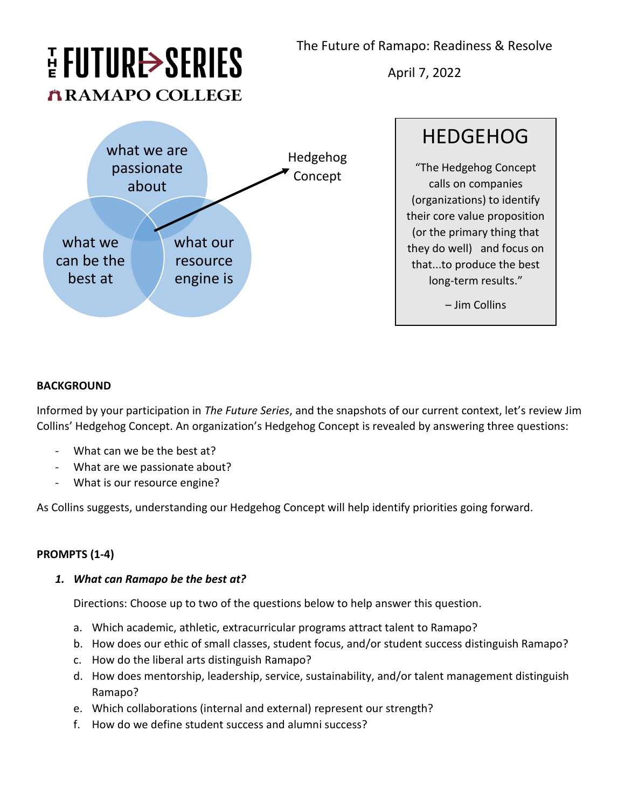The Future of Ramapo: Readiness & Resolve

# HUTURE>SERIES **ARAMAPO COLLEGE**

April 7, 2022



HEDGEHOG "The Hedgehog Concept calls on companies (organizations) to identify their core value proposition (or the primary thing that they do well) and focus on that...to produce the best long-term results."

– Jim Collins

### **BACKGROUND**

Informed by your participation in *The Future Series*, and the snapshots of our current context, let's review Jim Collins' Hedgehog Concept. An organization's Hedgehog Concept is revealed by answering three questions:

- What can we be the best at?
- What are we passionate about?
- What is our resource engine?

As Collins suggests, understanding our Hedgehog Concept will help identify priorities going forward.

## **PROMPTS (1-4)**

### *1. What can Ramapo be the best at?*

Directions: Choose up to two of the questions below to help answer this question.

- a. Which academic, athletic, extracurricular programs attract talent to Ramapo?
- b. How does our ethic of small classes, student focus, and/or student success distinguish Ramapo?
- c. How do the liberal arts distinguish Ramapo?
- d. How does mentorship, leadership, service, sustainability, and/or talent management distinguish Ramapo?
- e. Which collaborations (internal and external) represent our strength?
- f. How do we define student success and alumni success?